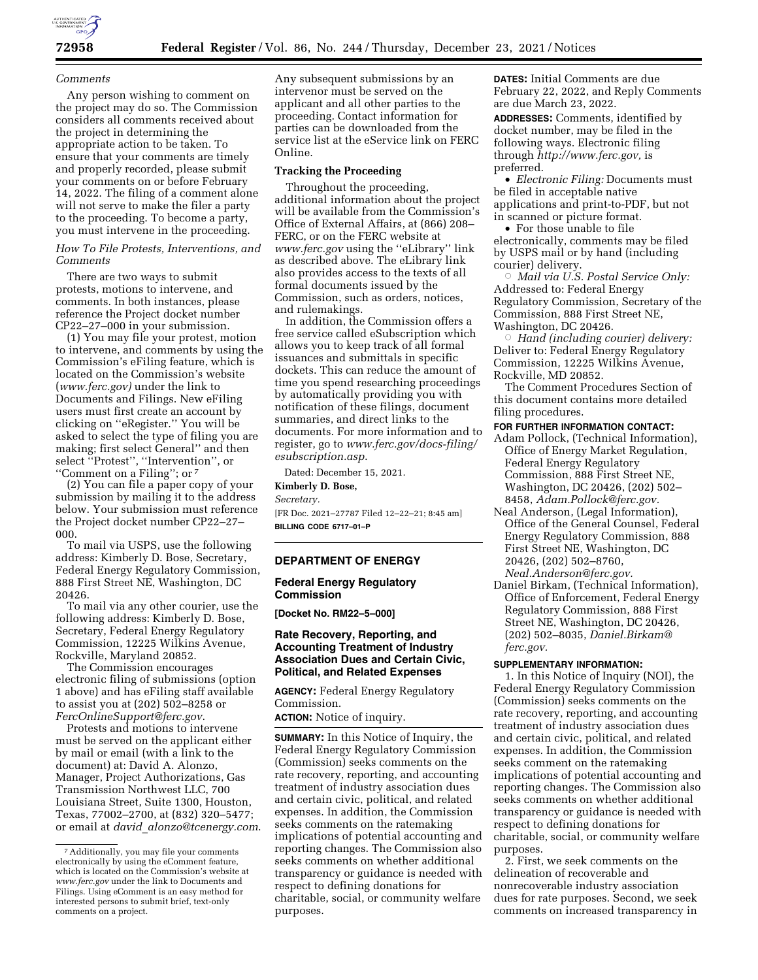

#### *Comments*

Any person wishing to comment on the project may do so. The Commission considers all comments received about the project in determining the appropriate action to be taken. To ensure that your comments are timely and properly recorded, please submit your comments on or before February 14, 2022. The filing of a comment alone will not serve to make the filer a party to the proceeding. To become a party, you must intervene in the proceeding.

*How To File Protests, Interventions, and Comments* 

There are two ways to submit protests, motions to intervene, and comments. In both instances, please reference the Project docket number CP22–27–000 in your submission.

(1) You may file your protest, motion to intervene, and comments by using the Commission's eFiling feature, which is located on the Commission's website (*[www.ferc.gov\)](http://www.ferc.gov)* under the link to Documents and Filings. New eFiling users must first create an account by clicking on ''eRegister.'' You will be asked to select the type of filing you are making; first select General'' and then select ''Protest'', ''Intervention'', or ''Comment on a Filing''; or 7

(2) You can file a paper copy of your submission by mailing it to the address below. Your submission must reference the Project docket number CP22–27– 000.

To mail via USPS, use the following address: Kimberly D. Bose, Secretary, Federal Energy Regulatory Commission, 888 First Street NE, Washington, DC 20426.

To mail via any other courier, use the following address: Kimberly D. Bose, Secretary, Federal Energy Regulatory Commission, 12225 Wilkins Avenue, Rockville, Maryland 20852.

The Commission encourages electronic filing of submissions (option 1 above) and has eFiling staff available to assist you at (202) 502–8258 or *[FercOnlineSupport@ferc.gov](mailto:FercOnlineSupport@ferc.gov)*.

Protests and motions to intervene must be served on the applicant either by mail or email (with a link to the document) at: David A. Alonzo, Manager, Project Authorizations, Gas Transmission Northwest LLC, 700 Louisiana Street, Suite 1300, Houston, Texas, 77002–2700, at (832) 320–5477; or email at *david*\_*[alonzo@tcenergy.com](mailto:david_alonzo@tcenergy.com)*.

Any subsequent submissions by an intervenor must be served on the applicant and all other parties to the proceeding. Contact information for parties can be downloaded from the service list at the eService link on FERC Online.

# **Tracking the Proceeding**

Throughout the proceeding, additional information about the project will be available from the Commission's Office of External Affairs, at (866) 208– FERC, or on the FERC website at *[www.ferc.gov](http://www.ferc.gov)* using the ''eLibrary'' link as described above. The eLibrary link also provides access to the texts of all formal documents issued by the Commission, such as orders, notices, and rulemakings.

In addition, the Commission offers a free service called eSubscription which allows you to keep track of all formal issuances and submittals in specific dockets. This can reduce the amount of time you spend researching proceedings by automatically providing you with notification of these filings, document summaries, and direct links to the documents. For more information and to register, go to *[www.ferc.gov/docs-filing/](http://www.ferc.gov/docs-filing/esubscription.asp)  [esubscription.asp](http://www.ferc.gov/docs-filing/esubscription.asp)*.

Dated: December 15, 2021. **Kimberly D. Bose,** 

*Secretary.* 

[FR Doc. 2021–27787 Filed 12–22–21; 8:45 am] **BILLING CODE 6717–01–P** 

## **DEPARTMENT OF ENERGY**

### **Federal Energy Regulatory Commission**

**[Docket No. RM22–5–000]** 

## **Rate Recovery, Reporting, and Accounting Treatment of Industry Association Dues and Certain Civic, Political, and Related Expenses**

**AGENCY:** Federal Energy Regulatory Commission.

**ACTION:** Notice of inquiry.

**SUMMARY:** In this Notice of Inquiry, the Federal Energy Regulatory Commission (Commission) seeks comments on the rate recovery, reporting, and accounting treatment of industry association dues and certain civic, political, and related expenses. In addition, the Commission seeks comments on the ratemaking implications of potential accounting and reporting changes. The Commission also seeks comments on whether additional transparency or guidance is needed with respect to defining donations for charitable, social, or community welfare purposes.

**DATES:** Initial Comments are due February 22, 2022, and Reply Comments are due March 23, 2022.

**ADDRESSES:** Comments, identified by docket number, may be filed in the following ways. Electronic filing through *[http://www.ferc.gov,](http://www.ferc.gov)* is preferred.

• *Electronic Filing:* Documents must be filed in acceptable native applications and print-to-PDF, but not in scanned or picture format.

• For those unable to file electronically, comments may be filed by USPS mail or by hand (including courier) delivery.

 $\circ$  *Mail via U.S. Postal Service Only:* Addressed to: Federal Energy Regulatory Commission, Secretary of the Commission, 888 First Street NE, Washington, DC 20426.

Æ *Hand (including courier) delivery:*  Deliver to: Federal Energy Regulatory Commission, 12225 Wilkins Avenue, Rockville, MD 20852.

The Comment Procedures Section of this document contains more detailed filing procedures.

#### **FOR FURTHER INFORMATION CONTACT:**

- Adam Pollock, (Technical Information), Office of Energy Market Regulation, Federal Energy Regulatory Commission, 888 First Street NE, Washington, DC 20426, (202) 502– 8458, *[Adam.Pollock@ferc.gov.](mailto:Adam.Pollock@ferc.gov)*
- Neal Anderson, (Legal Information), Office of the General Counsel, Federal Energy Regulatory Commission, 888 First Street NE, Washington, DC 20426, (202) 502–8760, *[Neal.Anderson@ferc.gov.](mailto:Neal.Anderson@ferc.gov)*
- Daniel Birkam, (Technical Information), Office of Enforcement, Federal Energy Regulatory Commission, 888 First Street NE, Washington, DC 20426, (202) 502–8035, *[Daniel.Birkam@](mailto:Daniel.Birkam@ferc.gov) [ferc.gov.](mailto:Daniel.Birkam@ferc.gov)*

#### **SUPPLEMENTARY INFORMATION:**

1. In this Notice of Inquiry (NOI), the Federal Energy Regulatory Commission (Commission) seeks comments on the rate recovery, reporting, and accounting treatment of industry association dues and certain civic, political, and related expenses. In addition, the Commission seeks comment on the ratemaking implications of potential accounting and reporting changes. The Commission also seeks comments on whether additional transparency or guidance is needed with respect to defining donations for charitable, social, or community welfare purposes.

2. First, we seek comments on the delineation of recoverable and nonrecoverable industry association dues for rate purposes. Second, we seek comments on increased transparency in

<sup>7</sup>Additionally, you may file your comments electronically by using the eComment feature, which is located on the Commission's website at *[www.ferc.gov](http://www.ferc.gov)* under the link to Documents and Filings. Using eComment is an easy method for interested persons to submit brief, text-only comments on a project.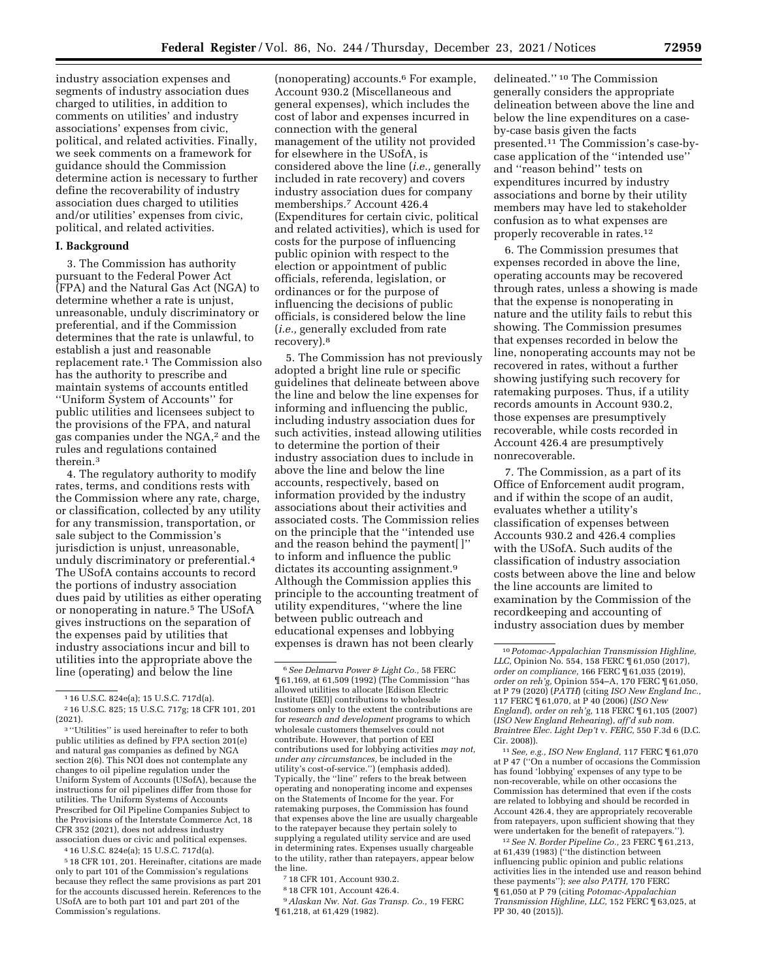industry association expenses and segments of industry association dues charged to utilities, in addition to comments on utilities' and industry associations' expenses from civic, political, and related activities. Finally, we seek comments on a framework for guidance should the Commission determine action is necessary to further define the recoverability of industry association dues charged to utilities and/or utilities' expenses from civic, political, and related activities.

### **I. Background**

3. The Commission has authority pursuant to the Federal Power Act (FPA) and the Natural Gas Act (NGA) to determine whether a rate is unjust, unreasonable, unduly discriminatory or preferential, and if the Commission determines that the rate is unlawful, to establish a just and reasonable replacement rate.1 The Commission also has the authority to prescribe and maintain systems of accounts entitled ''Uniform System of Accounts'' for public utilities and licensees subject to the provisions of the FPA, and natural gas companies under the NGA,2 and the rules and regulations contained therein<sup>3</sup>

4. The regulatory authority to modify rates, terms, and conditions rests with the Commission where any rate, charge, or classification, collected by any utility for any transmission, transportation, or sale subject to the Commission's jurisdiction is unjust, unreasonable, unduly discriminatory or preferential.4 The USofA contains accounts to record the portions of industry association dues paid by utilities as either operating or nonoperating in nature.5 The USofA gives instructions on the separation of the expenses paid by utilities that industry associations incur and bill to utilities into the appropriate above the line (operating) and below the line

4 16 U.S.C. 824e(a); 15 U.S.C. 717d(a).

5 18 CFR 101, 201. Hereinafter, citations are made only to part 101 of the Commission's regulations because they reflect the same provisions as part 201 for the accounts discussed herein. References to the USofA are to both part 101 and part 201 of the Commission's regulations.

(nonoperating) accounts.6 For example, Account 930.2 (Miscellaneous and general expenses), which includes the cost of labor and expenses incurred in connection with the general management of the utility not provided for elsewhere in the USofA, is considered above the line (*i.e.,* generally included in rate recovery) and covers industry association dues for company memberships.7 Account 426.4 (Expenditures for certain civic, political and related activities), which is used for costs for the purpose of influencing public opinion with respect to the election or appointment of public officials, referenda, legislation, or ordinances or for the purpose of influencing the decisions of public officials, is considered below the line (*i.e.,* generally excluded from rate recovery).8

5. The Commission has not previously adopted a bright line rule or specific guidelines that delineate between above the line and below the line expenses for informing and influencing the public, including industry association dues for such activities, instead allowing utilities to determine the portion of their industry association dues to include in above the line and below the line accounts, respectively, based on information provided by the industry associations about their activities and associated costs. The Commission relies on the principle that the ''intended use and the reason behind the payment[ ]'' to inform and influence the public dictates its accounting assignment.<sup>9</sup> Although the Commission applies this principle to the accounting treatment of utility expenditures, ''where the line between public outreach and educational expenses and lobbying expenses is drawn has not been clearly

9*Alaskan Nw. Nat. Gas Transp. Co.,* 19 FERC ¶ 61,218, at 61,429 (1982).

delineated.'' 10 The Commission generally considers the appropriate delineation between above the line and below the line expenditures on a caseby-case basis given the facts presented.11 The Commission's case-bycase application of the ''intended use'' and ''reason behind'' tests on expenditures incurred by industry associations and borne by their utility members may have led to stakeholder confusion as to what expenses are properly recoverable in rates.12

6. The Commission presumes that expenses recorded in above the line, operating accounts may be recovered through rates, unless a showing is made that the expense is nonoperating in nature and the utility fails to rebut this showing. The Commission presumes that expenses recorded in below the line, nonoperating accounts may not be recovered in rates, without a further showing justifying such recovery for ratemaking purposes. Thus, if a utility records amounts in Account 930.2, those expenses are presumptively recoverable, while costs recorded in Account 426.4 are presumptively nonrecoverable.

7. The Commission, as a part of its Office of Enforcement audit program, and if within the scope of an audit, evaluates whether a utility's classification of expenses between Accounts 930.2 and 426.4 complies with the USofA. Such audits of the classification of industry association costs between above the line and below the line accounts are limited to examination by the Commission of the recordkeeping and accounting of industry association dues by member

11*See, e.g., ISO New England,* 117 FERC ¶ 61,070 at P 47 (''On a number of occasions the Commission has found 'lobbying' expenses of any type to be non-recoverable, while on other occasions the Commission has determined that even if the costs are related to lobbying and should be recorded in Account 426.4, they are appropriately recoverable from ratepayers, upon sufficient showing that they were undertaken for the benefit of ratepayers.'').

12*See N. Border Pipeline Co.,* 23 FERC ¶ 61,213, at 61,439 (1983) (''the distinction between influencing public opinion and public relations activities lies in the intended use and reason behind these payments''); *see also PATH,* 170 FERC ¶ 61,050 at P 79 (citing *Potomac-Appalachian Transmission Highline, LLC,* 152 FERC ¶ 63,025, at PP 30, 40 (2015)).

<sup>1</sup> 16 U.S.C. 824e(a); 15 U.S.C. 717d(a).

<sup>2</sup> 16 U.S.C. 825; 15 U.S.C. 717g; 18 CFR 101, 201 (2021).

<sup>3</sup> ''Utilities'' is used hereinafter to refer to both public utilities as defined by FPA section 201(e) and natural gas companies as defined by NGA section 2(6). This NOI does not contemplate any changes to oil pipeline regulation under the Uniform System of Accounts (USofA), because the instructions for oil pipelines differ from those for utilities. The Uniform Systems of Accounts Prescribed for Oil Pipeline Companies Subject to the Provisions of the Interstate Commerce Act, 18 CFR 352 (2021), does not address industry association dues or civic and political expenses.

<sup>6</sup>*See Delmarva Power & Light Co.,* 58 FERC ¶ 61,169, at 61,509 (1992) (The Commission ''has allowed utilities to allocate [Edison Electric Institute (EEI)] contributions to wholesale customers only to the extent the contributions are for *research and development* programs to which wholesale customers themselves could not contribute. However, that portion of EEI contributions used for lobbying activities *may not, under any circumstances,* be included in the utility's cost-of-service.'') (emphasis added). Typically, the ''line'' refers to the break between operating and nonoperating income and expenses on the Statements of Income for the year. For ratemaking purposes, the Commission has found that expenses above the line are usually chargeable to the ratepayer because they pertain solely to supplying a regulated utility service and are used in determining rates. Expenses usually chargeable to the utility, rather than ratepayers, appear below the line.

<sup>7</sup> 18 CFR 101, Account 930.2.

<sup>8</sup> 18 CFR 101, Account 426.4.

<sup>10</sup>*Potomac-Appalachian Transmission Highline, LLC,* Opinion No. 554, 158 FERC ¶ 61,050 (2017), *order on compliance,* 166 FERC ¶ 61,035 (2019), *order on reh'g,* Opinion 554–A, 170 FERC ¶ 61,050, at P 79 (2020) (*PATH*) (citing *ISO New England Inc.,*  117 FERC ¶ 61,070, at P 40 (2006) (*ISO New England*), *order on reh'g,* 118 FERC ¶ 61,105 (2007) (*ISO New England Rehearing*), *aff'd sub nom. Braintree Elec. Light Dep't* v. *FERC,* 550 F.3d 6 (D.C. Cir. 2008)).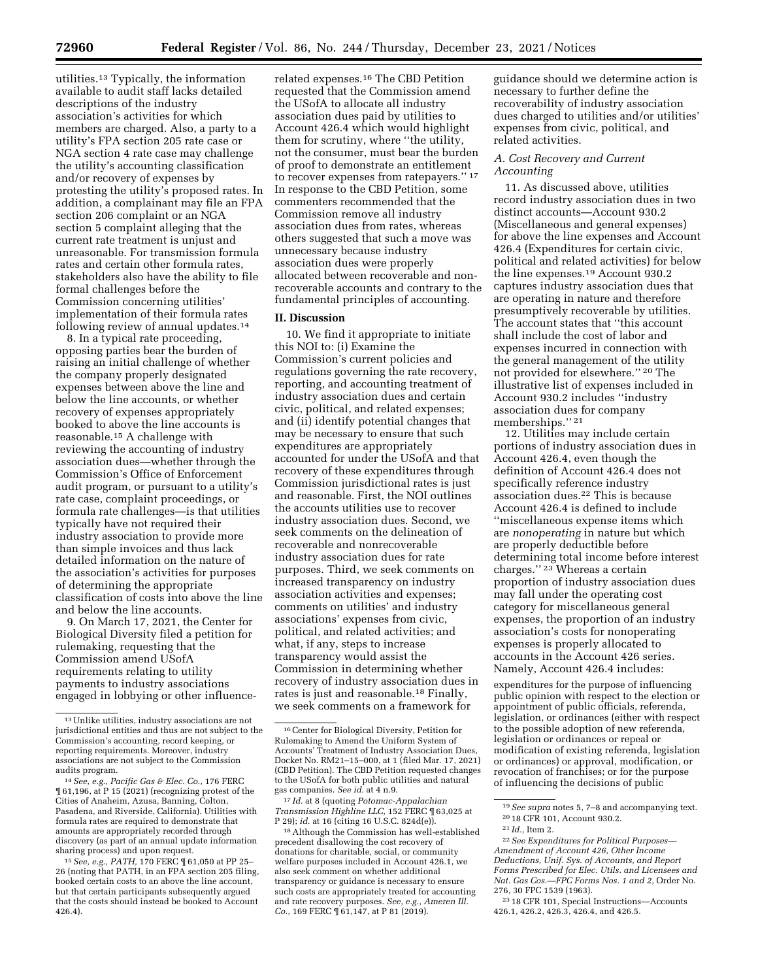utilities.13 Typically, the information available to audit staff lacks detailed descriptions of the industry association's activities for which members are charged. Also, a party to a utility's FPA section 205 rate case or NGA section 4 rate case may challenge the utility's accounting classification and/or recovery of expenses by protesting the utility's proposed rates. In addition, a complainant may file an FPA section 206 complaint or an NGA section 5 complaint alleging that the current rate treatment is unjust and unreasonable. For transmission formula rates and certain other formula rates, stakeholders also have the ability to file formal challenges before the Commission concerning utilities' implementation of their formula rates following review of annual updates.14

8. In a typical rate proceeding, opposing parties bear the burden of raising an initial challenge of whether the company properly designated expenses between above the line and below the line accounts, or whether recovery of expenses appropriately booked to above the line accounts is reasonable.15 A challenge with reviewing the accounting of industry association dues—whether through the Commission's Office of Enforcement audit program, or pursuant to a utility's rate case, complaint proceedings, or formula rate challenges—is that utilities typically have not required their industry association to provide more than simple invoices and thus lack detailed information on the nature of the association's activities for purposes of determining the appropriate classification of costs into above the line and below the line accounts.

9. On March 17, 2021, the Center for Biological Diversity filed a petition for rulemaking, requesting that the Commission amend USofA requirements relating to utility payments to industry associations engaged in lobbying or other influence-

14*See, e.g., Pacific Gas & Elec. Co.,* 176 FERC ¶ 61,196, at P 15 (2021) (recognizing protest of the Cities of Anaheim, Azusa, Banning, Colton, Pasadena, and Riverside, California). Utilities with formula rates are required to demonstrate that amounts are appropriately recorded through discovery (as part of an annual update information sharing process) and upon request.

15*See, e.g., PATH,* 170 FERC ¶ 61,050 at PP 25– 26 (noting that PATH, in an FPA section 205 filing, booked certain costs to an above the line account, but that certain participants subsequently argued that the costs should instead be booked to Account 426.4).

related expenses.16 The CBD Petition requested that the Commission amend the USofA to allocate all industry association dues paid by utilities to Account 426.4 which would highlight them for scrutiny, where ''the utility, not the consumer, must bear the burden of proof to demonstrate an entitlement to recover expenses from ratepayers.'' 17 In response to the CBD Petition, some commenters recommended that the Commission remove all industry association dues from rates, whereas others suggested that such a move was unnecessary because industry association dues were properly allocated between recoverable and nonrecoverable accounts and contrary to the fundamental principles of accounting.

#### **II. Discussion**

10. We find it appropriate to initiate this NOI to: (i) Examine the Commission's current policies and regulations governing the rate recovery, reporting, and accounting treatment of industry association dues and certain civic, political, and related expenses; and (ii) identify potential changes that may be necessary to ensure that such expenditures are appropriately accounted for under the USofA and that recovery of these expenditures through Commission jurisdictional rates is just and reasonable. First, the NOI outlines the accounts utilities use to recover industry association dues. Second, we seek comments on the delineation of recoverable and nonrecoverable industry association dues for rate purposes. Third, we seek comments on increased transparency on industry association activities and expenses; comments on utilities' and industry associations' expenses from civic, political, and related activities; and what, if any, steps to increase transparency would assist the Commission in determining whether recovery of industry association dues in rates is just and reasonable.18 Finally, we seek comments on a framework for

17 *Id.* at 8 (quoting *Potomac-Appalachian Transmission Highline LLC,* 152 FERC ¶ 63,025 at P 29); *id.* at 16 (citing 16 U.S.C. 824d(e)).

18Although the Commission has well-established precedent disallowing the cost recovery of donations for charitable, social, or community welfare purposes included in Account 426.1, we also seek comment on whether additional transparency or guidance is necessary to ensure such costs are appropriately treated for accounting and rate recovery purposes. *See, e.g., Ameren Ill. Co.*, 169 FERC  $\frac{1}{161}$ , 147, at P 81 (2019).

guidance should we determine action is necessary to further define the recoverability of industry association dues charged to utilities and/or utilities' expenses from civic, political, and related activities.

## *A. Cost Recovery and Current Accounting*

11. As discussed above, utilities record industry association dues in two distinct accounts—Account 930.2 (Miscellaneous and general expenses) for above the line expenses and Account 426.4 (Expenditures for certain civic, political and related activities) for below the line expenses.19 Account 930.2 captures industry association dues that are operating in nature and therefore presumptively recoverable by utilities. The account states that ''this account shall include the cost of labor and expenses incurred in connection with the general management of the utility not provided for elsewhere.'' 20 The illustrative list of expenses included in Account 930.2 includes ''industry association dues for company memberships."<sup>21</sup>

12. Utilities may include certain portions of industry association dues in Account 426.4, even though the definition of Account 426.4 does not specifically reference industry association dues.22 This is because Account 426.4 is defined to include ''miscellaneous expense items which are *nonoperating* in nature but which are properly deductible before determining total income before interest charges.'' 23 Whereas a certain proportion of industry association dues may fall under the operating cost category for miscellaneous general expenses, the proportion of an industry association's costs for nonoperating expenses is properly allocated to accounts in the Account 426 series. Namely, Account 426.4 includes:

expenditures for the purpose of influencing public opinion with respect to the election or appointment of public officials, referenda, legislation, or ordinances (either with respect to the possible adoption of new referenda, legislation or ordinances or repeal or modification of existing referenda, legislation or ordinances) or approval, modification, or revocation of franchises; or for the purpose of influencing the decisions of public

 $^{\rm 13}$  Unlike utilities, industry associations are not jurisdictional entities and thus are not subject to the Commission's accounting, record keeping, or reporting requirements. Moreover, industry associations are not subject to the Commission audits program.

<sup>16</sup>Center for Biological Diversity, Petition for Rulemaking to Amend the Uniform System of Accounts' Treatment of Industry Association Dues, Docket No. RM21–15–000, at 1 (filed Mar. 17, 2021) (CBD Petition). The CBD Petition requested changes to the USofA for both public utilities and natural gas companies. *See id.* at 4 n.9.

<sup>19</sup>*See supra* notes 5, 7–8 and accompanying text. 20 18 CFR 101, Account 930.2.

<sup>21</sup> *Id.,* Item 2.

<sup>22</sup>*See Expenditures for Political Purposes— Amendment of Account 426, Other Income Deductions, Unif. Sys. of Accounts, and Report Forms Prescribed for Elec. Utils. and Licensees and Nat. Gas Cos.—FPC Forms Nos. 1 and 2,* Order No. 276, 30 FPC 1539 (1963).

<sup>23</sup> 18 CFR 101, Special Instructions—Accounts 426.1, 426.2, 426.3, 426.4, and 426.5.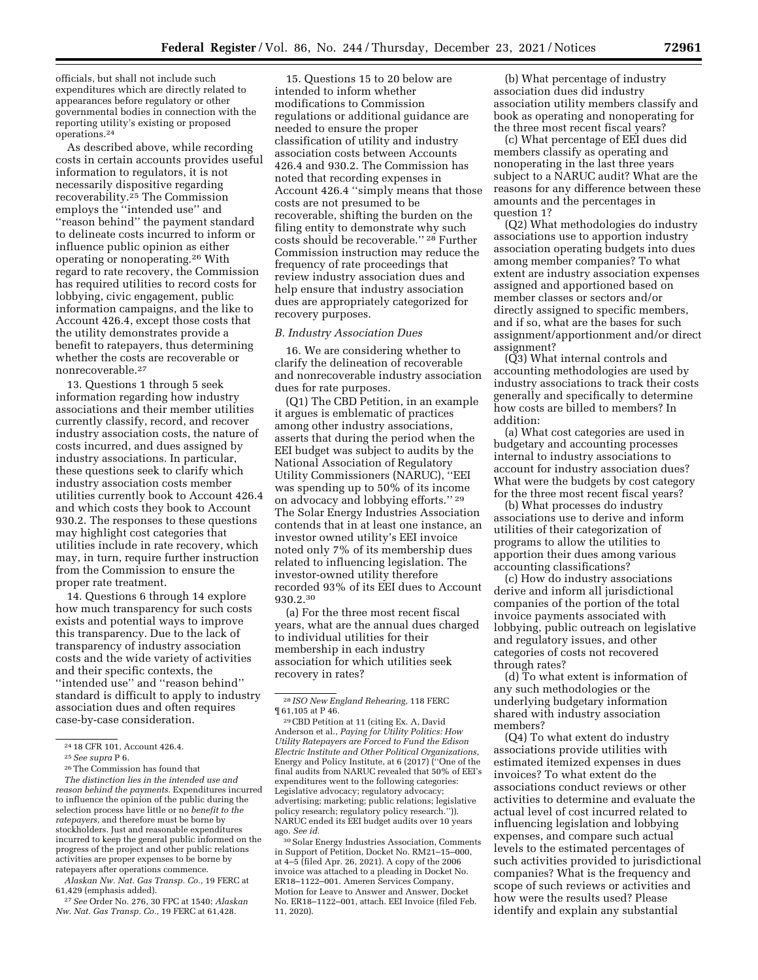officials, but shall not include such expenditures which are directly related to appearances before regulatory or other governmental bodies in connection with the reporting utility's existing or proposed operations.24

As described above, while recording costs in certain accounts provides useful information to regulators, it is not necessarily dispositive regarding recoverability.25 The Commission employs the ''intended use'' and ''reason behind'' the payment standard to delineate costs incurred to inform or influence public opinion as either operating or nonoperating.26 With regard to rate recovery, the Commission has required utilities to record costs for lobbying, civic engagement, public information campaigns, and the like to Account 426.4, except those costs that the utility demonstrates provide a benefit to ratepayers, thus determining whether the costs are recoverable or nonrecoverable.27

13. Questions 1 through 5 seek information regarding how industry associations and their member utilities currently classify, record, and recover industry association costs, the nature of costs incurred, and dues assigned by industry associations. In particular, these questions seek to clarify which industry association costs member utilities currently book to Account 426.4 and which costs they book to Account 930.2. The responses to these questions may highlight cost categories that utilities include in rate recovery, which may, in turn, require further instruction from the Commission to ensure the proper rate treatment.

14. Questions 6 through 14 explore how much transparency for such costs exists and potential ways to improve this transparency. Due to the lack of transparency of industry association costs and the wide variety of activities and their specific contexts, the ''intended use'' and ''reason behind'' standard is difficult to apply to industry association dues and often requires case-by-case consideration.

*The distinction lies in the intended use and reason behind the payments.* Expenditures incurred to influence the opinion of the public during the selection process have little or no *benefit to the ratepayers,* and therefore must be borne by stockholders. Just and reasonable expenditures incurred to keep the general public informed on the progress of the project and other public relations activities are proper expenses to be borne by ratepayers after operations commence.

*Alaskan Nw. Nat. Gas Transp. Co.,* 19 FERC at 61,429 (emphasis added).

27*See* Order No. 276, 30 FPC at 1540; *Alaskan Nw. Nat. Gas Transp. Co.,* 19 FERC at 61,428.

15. Questions 15 to 20 below are intended to inform whether modifications to Commission regulations or additional guidance are needed to ensure the proper classification of utility and industry association costs between Accounts 426.4 and 930.2. The Commission has noted that recording expenses in Account 426.4 ''simply means that those costs are not presumed to be recoverable, shifting the burden on the filing entity to demonstrate why such costs should be recoverable."<sup>28</sup> Further Commission instruction may reduce the frequency of rate proceedings that review industry association dues and help ensure that industry association dues are appropriately categorized for recovery purposes.

### *B. Industry Association Dues*

16. We are considering whether to clarify the delineation of recoverable and nonrecoverable industry association dues for rate purposes.

(Q1) The CBD Petition, in an example it argues is emblematic of practices among other industry associations, asserts that during the period when the EEI budget was subject to audits by the National Association of Regulatory Utility Commissioners (NARUC), ''EEI was spending up to 50% of its income on advocacy and lobbying efforts.'' 29 The Solar Energy Industries Association contends that in at least one instance, an investor owned utility's EEI invoice noted only 7% of its membership dues related to influencing legislation. The investor-owned utility therefore recorded 93% of its EEI dues to Account 930.2.30

(a) For the three most recent fiscal years, what are the annual dues charged to individual utilities for their membership in each industry association for which utilities seek recovery in rates?

29CBD Petition at 11 (citing Ex. A, David Anderson et al., *Paying for Utility Politics: How Utility Ratepayers are Forced to Fund the Edison Electric Institute and Other Political Organizations,*  Energy and Policy Institute, at 6 (2017) (''One of the final audits from NARUC revealed that 50% of EEI's expenditures went to the following categories: Legislative advocacy; regulatory advocacy; advertising; marketing; public relations; legislative policy research; regulatory policy research.'')). NARUC ended its EEI budget audits over 10 years ago. *See id.* 

30Solar Energy Industries Association, Comments in Support of Petition, Docket No. RM21–15–000, at 4–5 (filed Apr. 26, 2021). A copy of the 2006 invoice was attached to a pleading in Docket No. ER18–1122–001. Ameren Services Company, Motion for Leave to Answer and Answer, Docket No. ER18–1122–001, attach. EEI Invoice (filed Feb. 11, 2020).

(b) What percentage of industry association dues did industry association utility members classify and book as operating and nonoperating for the three most recent fiscal years?

(c) What percentage of EEI dues did members classify as operating and nonoperating in the last three years subject to a NARUC audit? What are the reasons for any difference between these amounts and the percentages in question 1?

(Q2) What methodologies do industry associations use to apportion industry association operating budgets into dues among member companies? To what extent are industry association expenses assigned and apportioned based on member classes or sectors and/or directly assigned to specific members, and if so, what are the bases for such assignment/apportionment and/or direct assignment?

(Q3) What internal controls and accounting methodologies are used by industry associations to track their costs generally and specifically to determine how costs are billed to members? In addition:

(a) What cost categories are used in budgetary and accounting processes internal to industry associations to account for industry association dues? What were the budgets by cost category for the three most recent fiscal years?

(b) What processes do industry associations use to derive and inform utilities of their categorization of programs to allow the utilities to apportion their dues among various accounting classifications?

(c) How do industry associations derive and inform all jurisdictional companies of the portion of the total invoice payments associated with lobbying, public outreach on legislative and regulatory issues, and other categories of costs not recovered through rates?

(d) To what extent is information of any such methodologies or the underlying budgetary information shared with industry association members?

(Q4) To what extent do industry associations provide utilities with estimated itemized expenses in dues invoices? To what extent do the associations conduct reviews or other activities to determine and evaluate the actual level of cost incurred related to influencing legislation and lobbying expenses, and compare such actual levels to the estimated percentages of such activities provided to jurisdictional companies? What is the frequency and scope of such reviews or activities and how were the results used? Please identify and explain any substantial

<sup>24</sup> 18 CFR 101, Account 426.4.

<sup>25</sup>*See supra* P 6.

<sup>26</sup>The Commission has found that

<sup>28</sup> *ISO New England Rehearing,* 118 FERC ¶ 61,105 at P 46.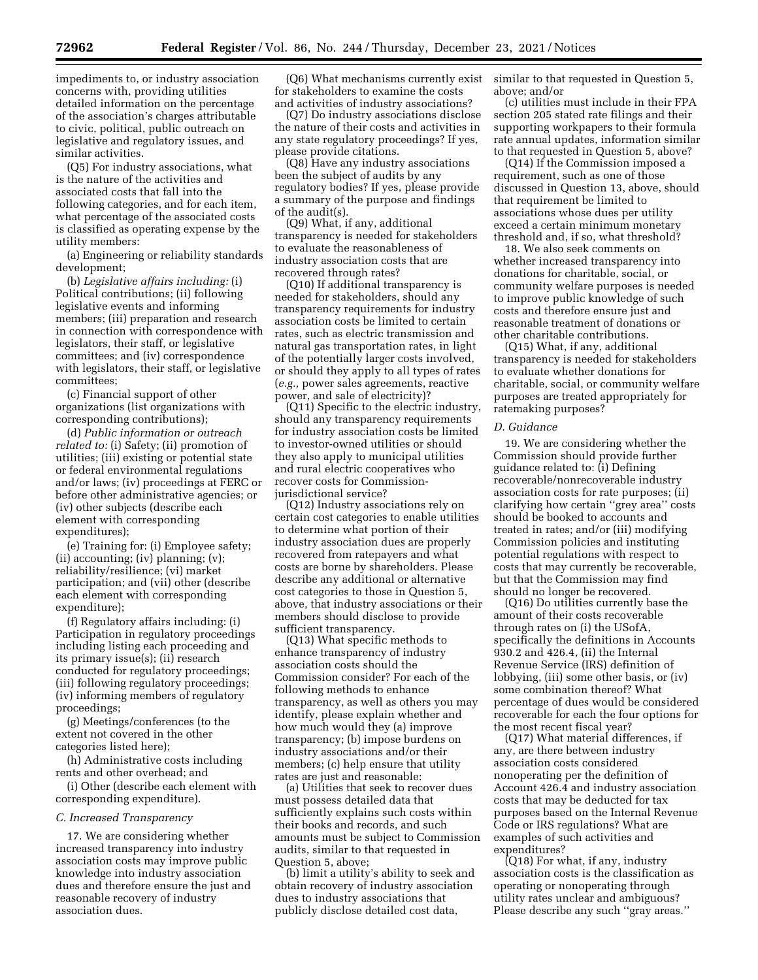impediments to, or industry association concerns with, providing utilities detailed information on the percentage of the association's charges attributable to civic, political, public outreach on legislative and regulatory issues, and similar activities.

(Q5) For industry associations, what is the nature of the activities and associated costs that fall into the following categories, and for each item, what percentage of the associated costs is classified as operating expense by the utility members:

(a) Engineering or reliability standards development;

(b) *Legislative affairs including:* (i) Political contributions; (ii) following legislative events and informing members; (iii) preparation and research in connection with correspondence with legislators, their staff, or legislative committees; and (iv) correspondence with legislators, their staff, or legislative committees;

(c) Financial support of other organizations (list organizations with corresponding contributions);

(d) *Public information or outreach related to:* (i) Safety; (ii) promotion of utilities; (iii) existing or potential state or federal environmental regulations and/or laws; (iv) proceedings at FERC or before other administrative agencies; or (iv) other subjects (describe each element with corresponding expenditures);

(e) Training for: (i) Employee safety; (ii) accounting; (iv) planning; (v); reliability/resilience; (vi) market participation; and (vii) other (describe each element with corresponding expenditure);

(f) Regulatory affairs including: (i) Participation in regulatory proceedings including listing each proceeding and its primary issue(s); (ii) research conducted for regulatory proceedings; (iii) following regulatory proceedings; (iv) informing members of regulatory proceedings;

(g) Meetings/conferences (to the extent not covered in the other categories listed here);

(h) Administrative costs including rents and other overhead; and

(i) Other (describe each element with corresponding expenditure).

## *C. Increased Transparency*

17. We are considering whether increased transparency into industry association costs may improve public knowledge into industry association dues and therefore ensure the just and reasonable recovery of industry association dues.

(Q6) What mechanisms currently exist for stakeholders to examine the costs and activities of industry associations?

(Q7) Do industry associations disclose the nature of their costs and activities in any state regulatory proceedings? If yes, please provide citations.

(Q8) Have any industry associations been the subject of audits by any regulatory bodies? If yes, please provide a summary of the purpose and findings of the audit(s).

(Q9) What, if any, additional transparency is needed for stakeholders to evaluate the reasonableness of industry association costs that are recovered through rates?

(Q10) If additional transparency is needed for stakeholders, should any transparency requirements for industry association costs be limited to certain rates, such as electric transmission and natural gas transportation rates, in light of the potentially larger costs involved, or should they apply to all types of rates (*e.g.,* power sales agreements, reactive power, and sale of electricity)?

(Q11) Specific to the electric industry, should any transparency requirements for industry association costs be limited to investor-owned utilities or should they also apply to municipal utilities and rural electric cooperatives who recover costs for Commissionjurisdictional service?

(Q12) Industry associations rely on certain cost categories to enable utilities to determine what portion of their industry association dues are properly recovered from ratepayers and what costs are borne by shareholders. Please describe any additional or alternative cost categories to those in Question 5, above, that industry associations or their members should disclose to provide sufficient transparency.

(Q13) What specific methods to enhance transparency of industry association costs should the Commission consider? For each of the following methods to enhance transparency, as well as others you may identify, please explain whether and how much would they (a) improve transparency; (b) impose burdens on industry associations and/or their members; (c) help ensure that utility rates are just and reasonable:

(a) Utilities that seek to recover dues must possess detailed data that sufficiently explains such costs within their books and records, and such amounts must be subject to Commission audits, similar to that requested in Question 5, above;

(b) limit a utility's ability to seek and obtain recovery of industry association dues to industry associations that publicly disclose detailed cost data,

similar to that requested in Question 5, above; and/or

(c) utilities must include in their FPA section 205 stated rate filings and their supporting workpapers to their formula rate annual updates, information similar to that requested in Question 5, above?

(Q14) If the Commission imposed a requirement, such as one of those discussed in Question 13, above, should that requirement be limited to associations whose dues per utility exceed a certain minimum monetary threshold and, if so, what threshold?

18. We also seek comments on whether increased transparency into donations for charitable, social, or community welfare purposes is needed to improve public knowledge of such costs and therefore ensure just and reasonable treatment of donations or other charitable contributions.

(Q15) What, if any, additional transparency is needed for stakeholders to evaluate whether donations for charitable, social, or community welfare purposes are treated appropriately for ratemaking purposes?

## *D. Guidance*

19. We are considering whether the Commission should provide further guidance related to: (i) Defining recoverable/nonrecoverable industry association costs for rate purposes; (ii) clarifying how certain ''grey area'' costs should be booked to accounts and treated in rates; and/or (iii) modifying Commission policies and instituting potential regulations with respect to costs that may currently be recoverable, but that the Commission may find should no longer be recovered.

(Q16) Do utilities currently base the amount of their costs recoverable through rates on (i) the USofA, specifically the definitions in Accounts 930.2 and 426.4, (ii) the Internal Revenue Service (IRS) definition of lobbying, (iii) some other basis, or (iv) some combination thereof? What percentage of dues would be considered recoverable for each the four options for the most recent fiscal year?

(Q17) What material differences, if any, are there between industry association costs considered nonoperating per the definition of Account 426.4 and industry association costs that may be deducted for tax purposes based on the Internal Revenue Code or IRS regulations? What are examples of such activities and expenditures?

(Q18) For what, if any, industry association costs is the classification as operating or nonoperating through utility rates unclear and ambiguous? Please describe any such ''gray areas.''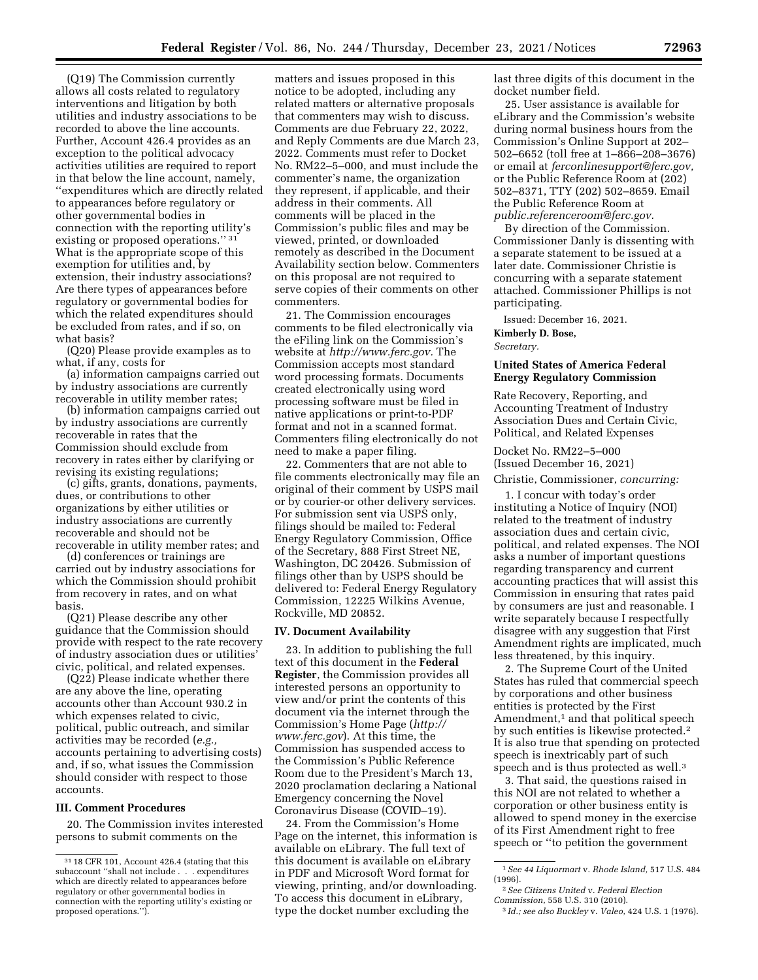(Q19) The Commission currently allows all costs related to regulatory interventions and litigation by both utilities and industry associations to be recorded to above the line accounts. Further, Account 426.4 provides as an exception to the political advocacy activities utilities are required to report in that below the line account, namely, ''expenditures which are directly related to appearances before regulatory or other governmental bodies in connection with the reporting utility's existing or proposed operations.'' 31 What is the appropriate scope of this exemption for utilities and, by extension, their industry associations? Are there types of appearances before regulatory or governmental bodies for which the related expenditures should be excluded from rates, and if so, on what basis?

(Q20) Please provide examples as to what, if any, costs for

(a) information campaigns carried out by industry associations are currently recoverable in utility member rates;

(b) information campaigns carried out by industry associations are currently recoverable in rates that the Commission should exclude from recovery in rates either by clarifying or revising its existing regulations;

(c) gifts, grants, donations, payments, dues, or contributions to other organizations by either utilities or industry associations are currently recoverable and should not be recoverable in utility member rates; and

(d) conferences or trainings are carried out by industry associations for which the Commission should prohibit from recovery in rates, and on what basis.

(Q21) Please describe any other guidance that the Commission should provide with respect to the rate recovery of industry association dues or utilities' civic, political, and related expenses.

(Q22) Please indicate whether there are any above the line, operating accounts other than Account 930.2 in which expenses related to civic, political, public outreach, and similar activities may be recorded (*e.g.,*  accounts pertaining to advertising costs) and, if so, what issues the Commission should consider with respect to those accounts.

### **III. Comment Procedures**

20. The Commission invites interested persons to submit comments on the

matters and issues proposed in this notice to be adopted, including any related matters or alternative proposals that commenters may wish to discuss. Comments are due February 22, 2022, and Reply Comments are due March 23, 2022. Comments must refer to Docket No. RM22–5–000, and must include the commenter's name, the organization they represent, if applicable, and their address in their comments. All comments will be placed in the Commission's public files and may be viewed, printed, or downloaded remotely as described in the Document Availability section below. Commenters on this proposal are not required to serve copies of their comments on other commenters.

21. The Commission encourages comments to be filed electronically via the eFiling link on the Commission's website at *[http://www.ferc.gov.](http://www.ferc.gov)* The Commission accepts most standard word processing formats. Documents created electronically using word processing software must be filed in native applications or print-to-PDF format and not in a scanned format. Commenters filing electronically do not need to make a paper filing.

22. Commenters that are not able to file comments electronically may file an original of their comment by USPS mail or by courier-or other delivery services. For submission sent via USPS only, filings should be mailed to: Federal Energy Regulatory Commission, Office of the Secretary, 888 First Street NE, Washington, DC 20426. Submission of filings other than by USPS should be delivered to: Federal Energy Regulatory Commission, 12225 Wilkins Avenue, Rockville, MD 20852.

#### **IV. Document Availability**

23. In addition to publishing the full text of this document in the **Federal Register**, the Commission provides all interested persons an opportunity to view and/or print the contents of this document via the internet through the Commission's Home Page (*[http://](http://www.ferc.gov) [www.ferc.gov](http://www.ferc.gov)*). At this time, the Commission has suspended access to the Commission's Public Reference Room due to the President's March 13, 2020 proclamation declaring a National Emergency concerning the Novel Coronavirus Disease (COVID–19).

24. From the Commission's Home Page on the internet, this information is available on eLibrary. The full text of this document is available on eLibrary in PDF and Microsoft Word format for viewing, printing, and/or downloading. To access this document in eLibrary, type the docket number excluding the

last three digits of this document in the docket number field.

25. User assistance is available for eLibrary and the Commission's website during normal business hours from the Commission's Online Support at 202– 502–6652 (toll free at 1–866–208–3676) or email at *[ferconlinesupport@ferc.gov,](mailto:ferconlinesupport@ferc.gov)*  or the Public Reference Room at (202) 502–8371, TTY (202) 502–8659. Email the Public Reference Room at *[public.referenceroom@ferc.gov.](mailto:public.referenceroom@ferc.gov)* 

By direction of the Commission. Commissioner Danly is dissenting with a separate statement to be issued at a later date. Commissioner Christie is concurring with a separate statement attached. Commissioner Phillips is not participating.

Issued: December 16, 2021.

**Kimberly D. Bose,**  *Secretary.* 

## **United States of America Federal Energy Regulatory Commission**

Rate Recovery, Reporting, and Accounting Treatment of Industry Association Dues and Certain Civic, Political, and Related Expenses

Docket No. RM22–5–000 (Issued December 16, 2021)

Christie, Commissioner, *concurring:* 

1. I concur with today's order instituting a Notice of Inquiry (NOI) related to the treatment of industry association dues and certain civic, political, and related expenses. The NOI asks a number of important questions regarding transparency and current accounting practices that will assist this Commission in ensuring that rates paid by consumers are just and reasonable. I write separately because I respectfully disagree with any suggestion that First Amendment rights are implicated, much less threatened, by this inquiry.

2. The Supreme Court of the United States has ruled that commercial speech by corporations and other business entities is protected by the First Amendment,<sup>1</sup> and that political speech by such entities is likewise protected.2 It is also true that spending on protected speech is inextricably part of such speech and is thus protected as well.<sup>3</sup>

3. That said, the questions raised in this NOI are not related to whether a corporation or other business entity is allowed to spend money in the exercise of its First Amendment right to free speech or ''to petition the government

<sup>31</sup> 18 CFR 101, Account 426.4 (stating that this subaccount ''shall not include . . . expenditures which are directly related to appearances before regulatory or other governmental bodies in connection with the reporting utility's existing or proposed operations.")

<sup>1</sup>*See 44 Liquormart* v. *Rhode Island,* 517 U.S. 484 (1996).

<sup>2</sup>*See Citizens United* v. *Federal Election Commission,* 558 U.S. 310 (2010).

<sup>3</sup> *Id.; see also Buckley* v. *Valeo,* 424 U.S. 1 (1976).